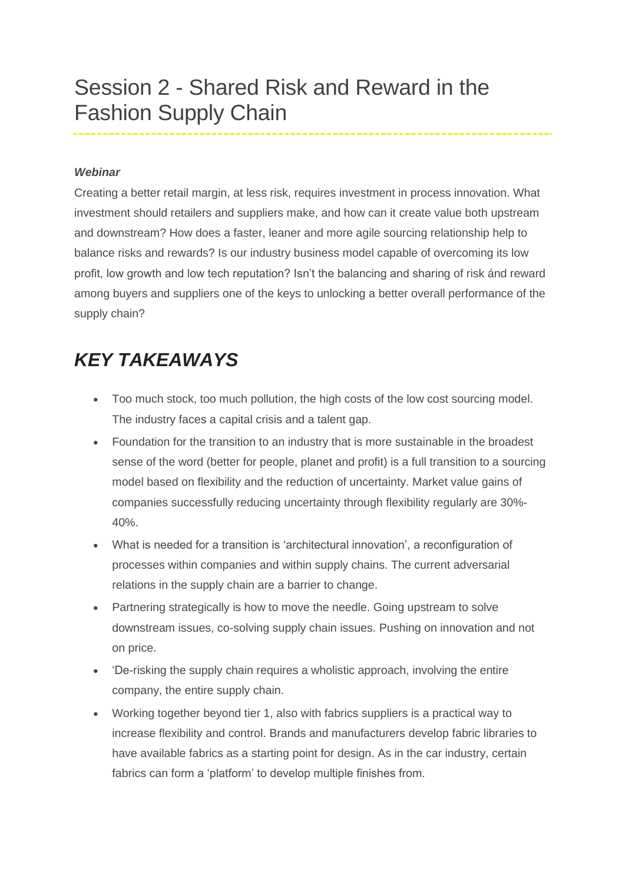## Session 2 - Shared Risk and Reward in the Fashion Supply Chain

## *Webinar*

Creating a better retail margin, at less risk, requires investment in process innovation. What investment should retailers and suppliers make, and how can it create value both upstream and downstream? How does a faster, leaner and more agile sourcing relationship help to balance risks and rewards? Is our industry business model capable of overcoming its low profit, low growth and low tech reputation? Isn't the balancing and sharing of risk ánd reward among buyers and suppliers one of the keys to unlocking a better overall performance of the supply chain?

## *KEY TAKEAWAYS*

- Too much stock, too much pollution, the high costs of the low cost sourcing model. The industry faces a capital crisis and a talent gap.
- Foundation for the transition to an industry that is more sustainable in the broadest sense of the word (better for people, planet and profit) is a full transition to a sourcing model based on flexibility and the reduction of uncertainty. Market value gains of companies successfully reducing uncertainty through flexibility regularly are 30%- 40%.
- What is needed for a transition is 'architectural innovation', a reconfiguration of processes within companies and within supply chains. The current adversarial relations in the supply chain are a barrier to change.
- Partnering strategically is how to move the needle. Going upstream to solve downstream issues, co-solving supply chain issues. Pushing on innovation and not on price.
- 'De-risking the supply chain requires a wholistic approach, involving the entire company, the entire supply chain.
- Working together beyond tier 1, also with fabrics suppliers is a practical way to increase flexibility and control. Brands and manufacturers develop fabric libraries to have available fabrics as a starting point for design. As in the car industry, certain fabrics can form a 'platform' to develop multiple finishes from.